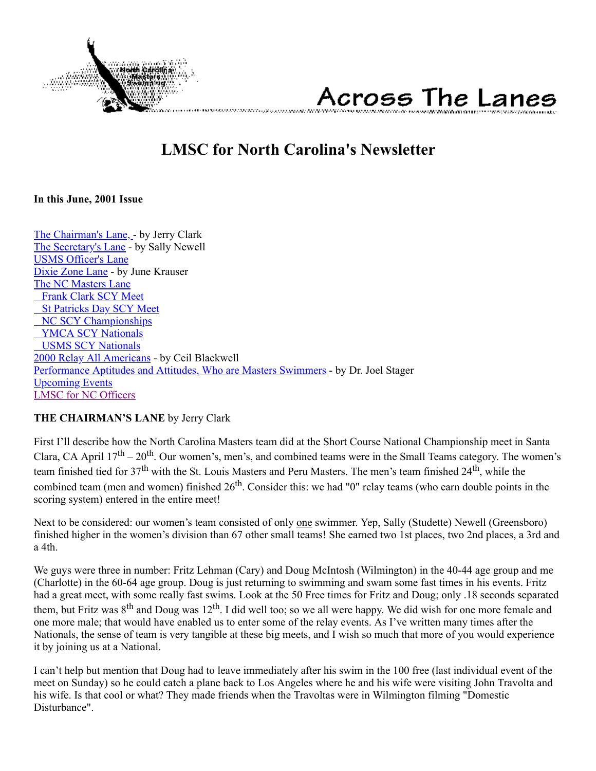

# Across The Lanes

## **LMSC for North Carolina's Newsletter**

#### <span id="page-0-1"></span>**In this June, 2001 Issue**

[The Chairman's Lane, -](#page-0-0) by Jerry Clark [The Secretary's Lane](#page-1-0) - by Sally Newell [USMS Officer's Lane](#page-2-0) [Dixie Zone Lane](#page-3-0) - by June Krauser [The NC Masters Lane](#page-4-0)  [Frank Clark SCY Meet](#page-4-1)  [St Patricks Day SCY Meet](#page-4-2)  [NC SCY Championships](#page-5-0)  [YMCA SCY Nationals](#page-6-0)  [USMS SCY Nationals](#page-7-0) [2000 Relay All Americans](#page-8-0) - by Ceil Blackwell [Performance Aptitudes and Attitudes, Who are Masters Swimmers](#page-8-1) - by Dr. Joel Stager [Upcoming Events](#page-10-0) [LMSC for NC Officers](#page-11-0)

#### <span id="page-0-0"></span>**THE CHAIRMAN'S LANE** by Jerry Clark

First I'll describe how the North Carolina Masters team did at the Short Course National Championship meet in Santa Clara, CA April  $17<sup>th</sup> - 20<sup>th</sup>$ . Our women's, men's, and combined teams were in the Small Teams category. The women's team finished tied for 37<sup>th</sup> with the St. Louis Masters and Peru Masters. The men's team finished 24<sup>th</sup>, while the combined team (men and women) finished  $26<sup>th</sup>$ . Consider this: we had "0" relay teams (who earn double points in the scoring system) entered in the entire meet!

Next to be considered: our women's team consisted of only one swimmer. Yep, Sally (Studette) Newell (Greensboro) finished higher in the women's division than 67 other small teams! She earned two 1st places, two 2nd places, a 3rd and a 4th.

We guys were three in number: Fritz Lehman (Cary) and Doug McIntosh (Wilmington) in the 40-44 age group and me (Charlotte) in the 60-64 age group. Doug is just returning to swimming and swam some fast times in his events. Fritz had a great meet, with some really fast swims. Look at the 50 Free times for Fritz and Doug; only .18 seconds separated them, but Fritz was  $8<sup>th</sup>$  and Doug was 12<sup>th</sup>. I did well too; so we all were happy. We did wish for one more female and one more male; that would have enabled us to enter some of the relay events. As I've written many times after the Nationals, the sense of team is very tangible at these big meets, and I wish so much that more of you would experience it by joining us at a National.

I can't help but mention that Doug had to leave immediately after his swim in the 100 free (last individual event of the meet on Sunday) so he could catch a plane back to Los Angeles where he and his wife were visiting John Travolta and his wife. Is that cool or what? They made friends when the Travoltas were in Wilmington filming "Domestic Disturbance".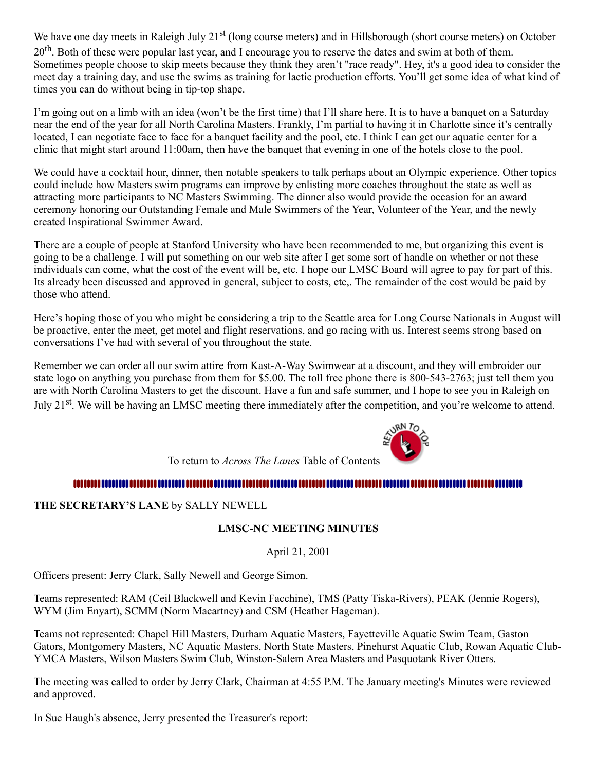We have one day meets in Raleigh July 21<sup>st</sup> (long course meters) and in Hillsborough (short course meters) on October 20<sup>th</sup>. Both of these were popular last year, and I encourage you to reserve the dates and swim at both of them. Sometimes people choose to skip meets because they think they aren't "race ready". Hey, it's a good idea to consider the meet day a training day, and use the swims as training for lactic production efforts. You'll get some idea of what kind of times you can do without being in tip-top shape.

I'm going out on a limb with an idea (won't be the first time) that I'll share here. It is to have a banquet on a Saturday near the end of the year for all North Carolina Masters. Frankly, I'm partial to having it in Charlotte since it's centrally located, I can negotiate face to face for a banquet facility and the pool, etc. I think I can get our aquatic center for a clinic that might start around 11:00am, then have the banquet that evening in one of the hotels close to the pool.

We could have a cocktail hour, dinner, then notable speakers to talk perhaps about an Olympic experience. Other topics could include how Masters swim programs can improve by enlisting more coaches throughout the state as well as attracting more participants to NC Masters Swimming. The dinner also would provide the occasion for an award ceremony honoring our Outstanding Female and Male Swimmers of the Year, Volunteer of the Year, and the newly created Inspirational Swimmer Award.

There are a couple of people at Stanford University who have been recommended to me, but organizing this event is going to be a challenge. I will put something on our web site after I get some sort of handle on whether or not these individuals can come, what the cost of the event will be, etc. I hope our LMSC Board will agree to pay for part of this. Its already been discussed and approved in general, subject to costs, etc,. The remainder of the cost would be paid by those who attend.

Here's hoping those of you who might be considering a trip to the Seattle area for Long Course Nationals in August will be proactive, enter the meet, get motel and flight reservations, and go racing with us. Interest seems strong based on conversations I've had with several of you throughout the state.

Remember we can order all our swim attire from Kast-A-Way Swimwear at a discount, and they will embroider our state logo on anything you purchase from them for \$5.00. The toll free phone there is 800-543-2763; just tell them you are with North Carolina Masters to get the discount. Have a fun and safe summer, and I hope to see you in Raleigh on July 21<sup>st</sup>. We will be having an LMSC meeting there immediately after the competition, and you're welcome to attend.



To return to *Across The Lanes* Table of Contents

#### 

<span id="page-1-0"></span>**THE SECRETARY'S LANE** by SALLY NEWELL

#### **LMSC-NC MEETING MINUTES**

April 21, 2001

Officers present: Jerry Clark, Sally Newell and George Simon.

Teams represented: RAM (Ceil Blackwell and Kevin Facchine), TMS (Patty Tiska-Rivers), PEAK (Jennie Rogers), WYM (Jim Enyart), SCMM (Norm Macartney) and CSM (Heather Hageman).

Teams not represented: Chapel Hill Masters, Durham Aquatic Masters, Fayetteville Aquatic Swim Team, Gaston Gators, Montgomery Masters, NC Aquatic Masters, North State Masters, Pinehurst Aquatic Club, Rowan Aquatic Club-YMCA Masters, Wilson Masters Swim Club, Winston-Salem Area Masters and Pasquotank River Otters.

The meeting was called to order by Jerry Clark, Chairman at 4:55 P.M. The January meeting's Minutes were reviewed and approved.

In Sue Haugh's absence, Jerry presented the Treasurer's report: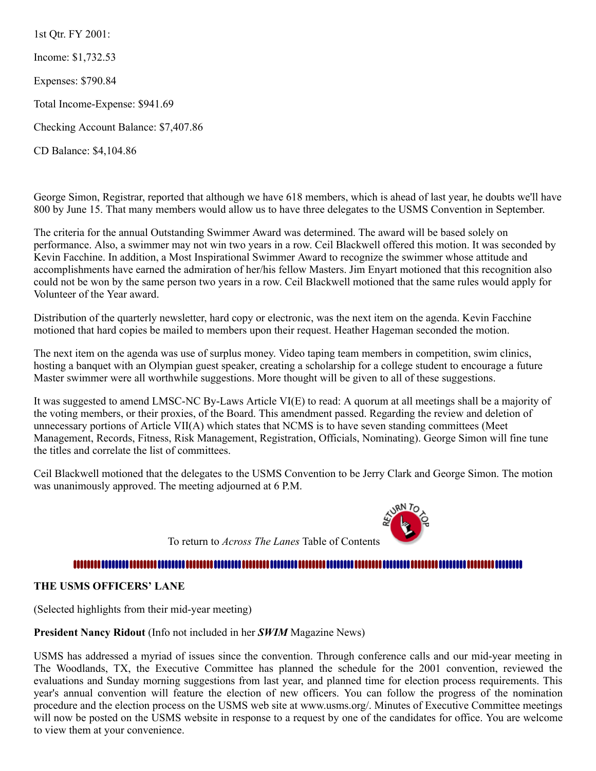1st Qtr. FY 2001:

Income: \$1,732.53

Expenses: \$790.84

Total Income-Expense: \$941.69

Checking Account Balance: \$7,407.86

CD Balance: \$4,104.86

George Simon, Registrar, reported that although we have 618 members, which is ahead of last year, he doubts we'll have 800 by June 15. That many members would allow us to have three delegates to the USMS Convention in September.

The criteria for the annual Outstanding Swimmer Award was determined. The award will be based solely on performance. Also, a swimmer may not win two years in a row. Ceil Blackwell offered this motion. It was seconded by Kevin Facchine. In addition, a Most Inspirational Swimmer Award to recognize the swimmer whose attitude and accomplishments have earned the admiration of her/his fellow Masters. Jim Enyart motioned that this recognition also could not be won by the same person two years in a row. Ceil Blackwell motioned that the same rules would apply for Volunteer of the Year award.

Distribution of the quarterly newsletter, hard copy or electronic, was the next item on the agenda. Kevin Facchine motioned that hard copies be mailed to members upon their request. Heather Hageman seconded the motion.

The next item on the agenda was use of surplus money. Video taping team members in competition, swim clinics, hosting a banquet with an Olympian guest speaker, creating a scholarship for a college student to encourage a future Master swimmer were all worthwhile suggestions. More thought will be given to all of these suggestions.

It was suggested to amend LMSC-NC By-Laws Article VI(E) to read: A quorum at all meetings shall be a majority of the voting members, or their proxies, of the Board. This amendment passed. Regarding the review and deletion of unnecessary portions of Article VII(A) which states that NCMS is to have seven standing committees (Meet Management, Records, Fitness, Risk Management, Registration, Officials, Nominating). George Simon will fine tune the titles and correlate the list of committees.

Ceil Blackwell motioned that the delegates to the USMS Convention to be Jerry Clark and George Simon. The motion was unanimously approved. The meeting adjourned at 6 P.M.



To return to *Across The Lanes* Table of Contents

#### 

#### <span id="page-2-0"></span>**THE USMS OFFICERS' LANE**

(Selected highlights from their mid-year meeting)

#### **President Nancy Ridout** (Info not included in her *SWIM* Magazine News)

USMS has addressed a myriad of issues since the convention. Through conference calls and our mid-year meeting in The Woodlands, TX, the Executive Committee has planned the schedule for the 2001 convention, reviewed the evaluations and Sunday morning suggestions from last year, and planned time for election process requirements. This year's annual convention will feature the election of new officers. You can follow the progress of the nomination procedure and the election process on the USMS web site at www.usms.org/. Minutes of Executive Committee meetings will now be posted on the USMS website in response to a request by one of the candidates for office. You are welcome to view them at your convenience.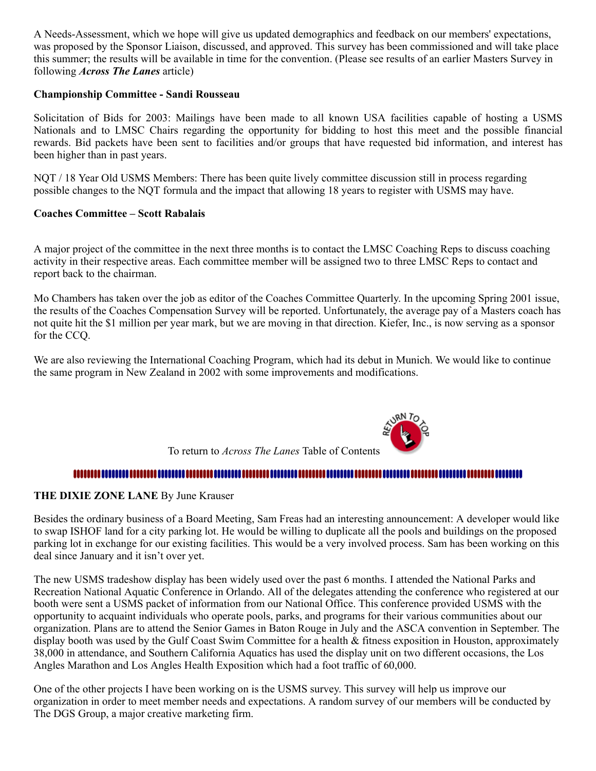A Needs-Assessment, which we hope will give us updated demographics and feedback on our members' expectations, was proposed by the Sponsor Liaison, discussed, and approved. This survey has been commissioned and will take place this summer; the results will be available in time for the convention. (Please see results of an earlier Masters Survey in following *Across The Lanes* article)

#### **Championship Committee - Sandi Rousseau**

Solicitation of Bids for 2003: Mailings have been made to all known USA facilities capable of hosting a USMS Nationals and to LMSC Chairs regarding the opportunity for bidding to host this meet and the possible financial rewards. Bid packets have been sent to facilities and/or groups that have requested bid information, and interest has been higher than in past years.

NQT / 18 Year Old USMS Members: There has been quite lively committee discussion still in process regarding possible changes to the NQT formula and the impact that allowing 18 years to register with USMS may have.

#### **Coaches Committee – Scott Rabalais**

A major project of the committee in the next three months is to contact the LMSC Coaching Reps to discuss coaching activity in their respective areas. Each committee member will be assigned two to three LMSC Reps to contact and report back to the chairman.

Mo Chambers has taken over the job as editor of the Coaches Committee Quarterly. In the upcoming Spring 2001 issue, the results of the Coaches Compensation Survey will be reported. Unfortunately, the average pay of a Masters coach has not quite hit the \$1 million per year mark, but we are moving in that direction. Kiefer, Inc., is now serving as a sponsor for the CCQ.

We are also reviewing the International Coaching Program, which had its debut in Munich. We would like to continue the same program in New Zealand in 2002 with some improvements and modifications.



#### 

#### <span id="page-3-0"></span>**THE DIXIE ZONE LANE** By June Krauser

Besides the ordinary business of a Board Meeting, Sam Freas had an interesting announcement: A developer would like to swap ISHOF land for a city parking lot. He would be willing to duplicate all the pools and buildings on the proposed parking lot in exchange for our existing facilities. This would be a very involved process. Sam has been working on this deal since January and it isn't over yet.

The new USMS tradeshow display has been widely used over the past 6 months. I attended the National Parks and Recreation National Aquatic Conference in Orlando. All of the delegates attending the conference who registered at our booth were sent a USMS packet of information from our National Office. This conference provided USMS with the opportunity to acquaint individuals who operate pools, parks, and programs for their various communities about our organization. Plans are to attend the Senior Games in Baton Rouge in July and the ASCA convention in September. The display booth was used by the Gulf Coast Swim Committee for a health & fitness exposition in Houston, approximately 38,000 in attendance, and Southern California Aquatics has used the display unit on two different occasions, the Los Angles Marathon and Los Angles Health Exposition which had a foot traffic of 60,000.

One of the other projects I have been working on is the USMS survey. This survey will help us improve our organization in order to meet member needs and expectations. A random survey of our members will be conducted by The DGS Group, a major creative marketing firm.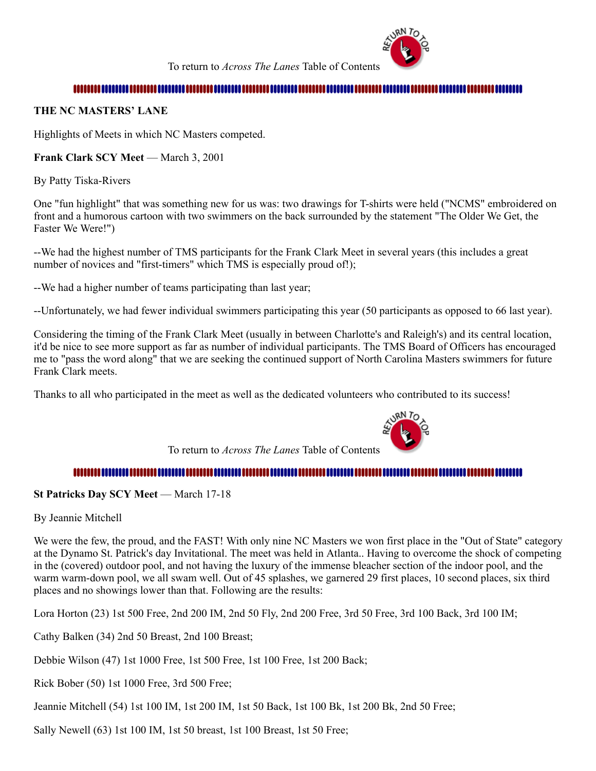

To return to *Across The Lanes* Table of Contents

#### 

#### <span id="page-4-0"></span>**THE NC MASTERS' LANE**

Highlights of Meets in which NC Masters competed.

#### <span id="page-4-1"></span>**Frank Clark SCY Meet — March 3, 2001**

By Patty Tiska-Rivers

One "fun highlight" that was something new for us was: two drawings for T-shirts were held ("NCMS" embroidered on front and a humorous cartoon with two swimmers on the back surrounded by the statement "The Older We Get, the Faster We Were!")

--We had the highest number of TMS participants for the Frank Clark Meet in several years (this includes a great number of novices and "first-timers" which TMS is especially proud of!);

--We had a higher number of teams participating than last year;

--Unfortunately, we had fewer individual swimmers participating this year (50 participants as opposed to 66 last year).

Considering the timing of the Frank Clark Meet (usually in between Charlotte's and Raleigh's) and its central location, it'd be nice to see more support as far as number of individual participants. The TMS Board of Officers has encouraged me to "pass the word along" that we are seeking the continued support of North Carolina Masters swimmers for future Frank Clark meets.

Thanks to all who participated in the meet as well as the dedicated volunteers who contributed to its success!

To return to *Across The Lanes* Table of Contents



#### 

#### <span id="page-4-2"></span>**St Patricks Day SCY Meet** — March 17-18

By Jeannie Mitchell

We were the few, the proud, and the FAST! With only nine NC Masters we won first place in the "Out of State" category at the Dynamo St. Patrick's day Invitational. The meet was held in Atlanta.. Having to overcome the shock of competing in the (covered) outdoor pool, and not having the luxury of the immense bleacher section of the indoor pool, and the warm warm-down pool, we all swam well. Out of 45 splashes, we garnered 29 first places, 10 second places, six third places and no showings lower than that. Following are the results:

Lora Horton (23) 1st 500 Free, 2nd 200 IM, 2nd 50 Fly, 2nd 200 Free, 3rd 50 Free, 3rd 100 Back, 3rd 100 IM;

Cathy Balken (34) 2nd 50 Breast, 2nd 100 Breast;

Debbie Wilson (47) 1st 1000 Free, 1st 500 Free, 1st 100 Free, 1st 200 Back;

Rick Bober (50) 1st 1000 Free, 3rd 500 Free;

Jeannie Mitchell (54) 1st 100 IM, 1st 200 IM, 1st 50 Back, 1st 100 Bk, 1st 200 Bk, 2nd 50 Free;

Sally Newell (63) 1st 100 IM, 1st 50 breast, 1st 100 Breast, 1st 50 Free;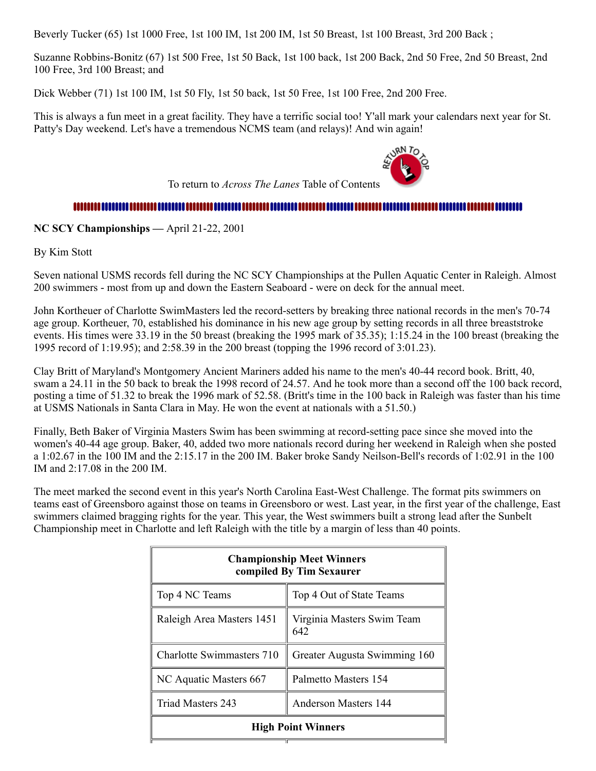Beverly Tucker (65) 1st 1000 Free, 1st 100 IM, 1st 200 IM, 1st 50 Breast, 1st 100 Breast, 3rd 200 Back ;

Suzanne Robbins-Bonitz (67) 1st 500 Free, 1st 50 Back, 1st 100 back, 1st 200 Back, 2nd 50 Free, 2nd 50 Breast, 2nd 100 Free, 3rd 100 Breast; and

Dick Webber (71) 1st 100 IM, 1st 50 Fly, 1st 50 back, 1st 50 Free, 1st 100 Free, 2nd 200 Free.

This is always a fun meet in a great facility. They have a terrific social too! Y'all mark your calendars next year for St. Patty's Day weekend. Let's have a tremendous NCMS team (and relays)! And win again!

To return to *Across The Lanes* Table of Contents



#### 

<span id="page-5-0"></span>**NC SCY Championships —** April 21-22, 2001

By Kim Stott

Seven national USMS records fell during the NC SCY Championships at the Pullen Aquatic Center in Raleigh. Almost 200 swimmers - most from up and down the Eastern Seaboard - were on deck for the annual meet.

John Kortheuer of Charlotte SwimMasters led the record-setters by breaking three national records in the men's 70-74 age group. Kortheuer, 70, established his dominance in his new age group by setting records in all three breaststroke events. His times were 33.19 in the 50 breast (breaking the 1995 mark of 35.35); 1:15.24 in the 100 breast (breaking the 1995 record of 1:19.95); and 2:58.39 in the 200 breast (topping the 1996 record of 3:01.23).

Clay Britt of Maryland's Montgomery Ancient Mariners added his name to the men's 40-44 record book. Britt, 40, swam a 24.11 in the 50 back to break the 1998 record of 24.57. And he took more than a second off the 100 back record, posting a time of 51.32 to break the 1996 mark of 52.58. (Britt's time in the 100 back in Raleigh was faster than his time at USMS Nationals in Santa Clara in May. He won the event at nationals with a 51.50.)

Finally, Beth Baker of Virginia Masters Swim has been swimming at record-setting pace since she moved into the women's 40-44 age group. Baker, 40, added two more nationals record during her weekend in Raleigh when she posted a 1:02.67 in the 100 IM and the 2:15.17 in the 200 IM. Baker broke Sandy Neilson-Bell's records of 1:02.91 in the 100 IM and 2:17.08 in the 200 IM.

The meet marked the second event in this year's North Carolina East-West Challenge. The format pits swimmers on teams east of Greensboro against those on teams in Greensboro or west. Last year, in the first year of the challenge, East swimmers claimed bragging rights for the year. This year, the West swimmers built a strong lead after the Sunbelt Championship meet in Charlotte and left Raleigh with the title by a margin of less than 40 points.

| <b>Championship Meet Winners</b><br>compiled By Tim Sexaurer |                                   |  |  |
|--------------------------------------------------------------|-----------------------------------|--|--|
| Top 4 NC Teams                                               | Top 4 Out of State Teams          |  |  |
| Raleigh Area Masters 1451                                    | Virginia Masters Swim Team<br>642 |  |  |
| Charlotte Swimmasters 710                                    | Greater Augusta Swimming 160      |  |  |
| NC Aquatic Masters 667                                       | Palmetto Masters 154              |  |  |
| Triad Masters 243                                            | Anderson Masters 144              |  |  |
| <b>High Point Winners</b>                                    |                                   |  |  |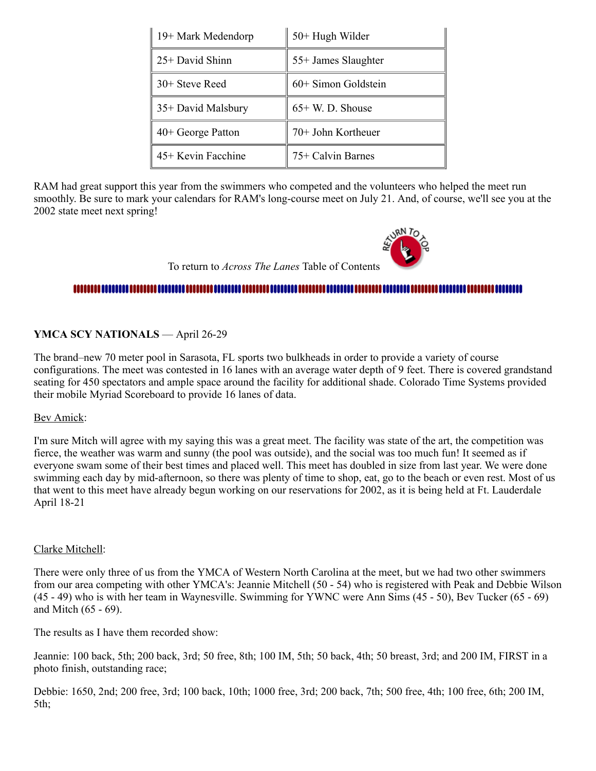| 19+ Mark Medendorp | 50+ Hugh Wilder     |  |
|--------------------|---------------------|--|
| 25+ David Shinn    | 55+ James Slaughter |  |
| 30+ Steve Reed     | 60+ Simon Goldstein |  |
| 35+ David Malsbury | $65+$ W. D. Shouse  |  |
| 40+ George Patton  | 70+ John Kortheuer  |  |
| 45+ Kevin Facchine | 75+ Calvin Barnes   |  |

RAM had great support this year from the swimmers who competed and the volunteers who helped the meet run smoothly. Be sure to mark your calendars for RAM's long-course meet on July 21. And, of course, we'll see you at the 2002 state meet next spring!

To return to *Across The Lanes* Table of Contents

#### 

#### <span id="page-6-0"></span>**YMCA SCY NATIONALS** — April 26-29

The brand–new 70 meter pool in Sarasota, FL sports two bulkheads in order to provide a variety of course configurations. The meet was contested in 16 lanes with an average water depth of 9 feet. There is covered grandstand seating for 450 spectators and ample space around the facility for additional shade. Colorado Time Systems provided their mobile Myriad Scoreboard to provide 16 lanes of data.

#### Bev Amick:

I'm sure Mitch will agree with my saying this was a great meet. The facility was state of the art, the competition was fierce, the weather was warm and sunny (the pool was outside), and the social was too much fun! It seemed as if everyone swam some of their best times and placed well. This meet has doubled in size from last year. We were done swimming each day by mid-afternoon, so there was plenty of time to shop, eat, go to the beach or even rest. Most of us that went to this meet have already begun working on our reservations for 2002, as it is being held at Ft. Lauderdale April 18-21

#### Clarke Mitchell:

There were only three of us from the YMCA of Western North Carolina at the meet, but we had two other swimmers from our area competing with other YMCA's: Jeannie Mitchell (50 - 54) who is registered with Peak and Debbie Wilson (45 - 49) who is with her team in Waynesville. Swimming for YWNC were Ann Sims (45 - 50), Bev Tucker (65 - 69) and Mitch (65 - 69).

The results as I have them recorded show:

Jeannie: 100 back, 5th; 200 back, 3rd; 50 free, 8th; 100 IM, 5th; 50 back, 4th; 50 breast, 3rd; and 200 IM, FIRST in a photo finish, outstanding race;

Debbie: 1650, 2nd; 200 free, 3rd; 100 back, 10th; 1000 free, 3rd; 200 back, 7th; 500 free, 4th; 100 free, 6th; 200 IM, 5th;

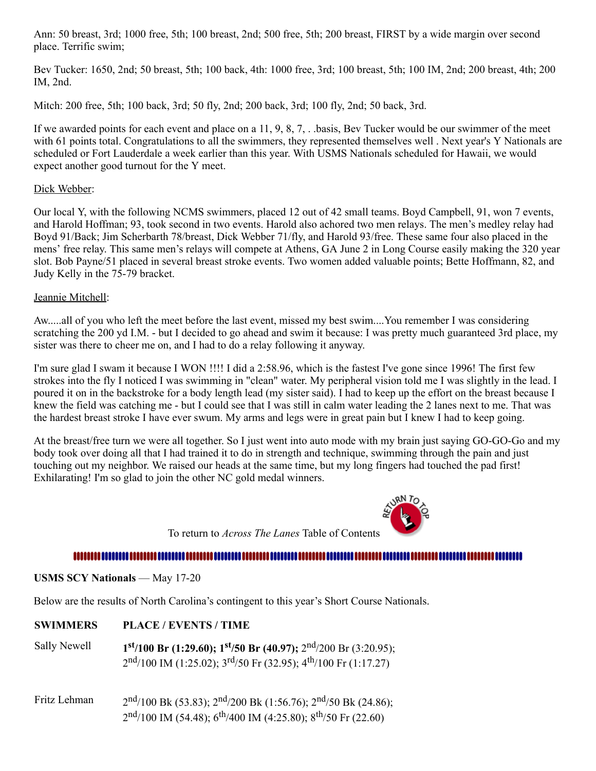Ann: 50 breast, 3rd; 1000 free, 5th; 100 breast, 2nd; 500 free, 5th; 200 breast, FIRST by a wide margin over second place. Terrific swim;

Bev Tucker: 1650, 2nd; 50 breast, 5th; 100 back, 4th: 1000 free, 3rd; 100 breast, 5th; 100 IM, 2nd; 200 breast, 4th; 200 IM, 2nd.

Mitch: 200 free, 5th; 100 back, 3rd; 50 fly, 2nd; 200 back, 3rd; 100 fly, 2nd; 50 back, 3rd.

If we awarded points for each event and place on a 11, 9, 8, 7, . .basis, Bev Tucker would be our swimmer of the meet with 61 points total. Congratulations to all the swimmers, they represented themselves well. Next year's Y Nationals are scheduled or Fort Lauderdale a week earlier than this year. With USMS Nationals scheduled for Hawaii, we would expect another good turnout for the Y meet.

#### Dick Webber:

Our local Y, with the following NCMS swimmers, placed 12 out of 42 small teams. Boyd Campbell, 91, won 7 events, and Harold Hoffman; 93, took second in two events. Harold also achored two men relays. The men's medley relay had Boyd 91/Back; Jim Scherbarth 78/breast, Dick Webber 71/fly, and Harold 93/free. These same four also placed in the mens' free relay. This same men's relays will compete at Athens, GA June 2 in Long Course easily making the 320 year slot. Bob Payne/51 placed in several breast stroke events. Two women added valuable points; Bette Hoffmann, 82, and Judy Kelly in the 75-79 bracket.

#### Jeannie Mitchell:

Aw.....all of you who left the meet before the last event, missed my best swim....You remember I was considering scratching the 200 yd I.M. - but I decided to go ahead and swim it because: I was pretty much guaranteed 3rd place, my sister was there to cheer me on, and I had to do a relay following it anyway.

I'm sure glad I swam it because I WON !!!! I did a 2:58.96, which is the fastest I've gone since 1996! The first few strokes into the fly I noticed I was swimming in "clean" water. My peripheral vision told me I was slightly in the lead. I poured it on in the backstroke for a body length lead (my sister said). I had to keep up the effort on the breast because I knew the field was catching me - but I could see that I was still in calm water leading the 2 lanes next to me. That was the hardest breast stroke I have ever swum. My arms and legs were in great pain but I knew I had to keep going.

At the breast/free turn we were all together. So I just went into auto mode with my brain just saying GO-GO-Go and my body took over doing all that I had trained it to do in strength and technique, swimming through the pain and just touching out my neighbor. We raised our heads at the same time, but my long fingers had touched the pad first! Exhilarating! I'm so glad to join the other NC gold medal winners.

To return to *Across The Lanes* Table of Contents

#### 

<span id="page-7-0"></span>**USMS SCY Nationals** — May 17-20

Below are the results of North Carolina's contingent to this year's Short Course Nationals.

| Sally Newell | $1st/100$ Br (1:29.60); $1st/50$ Br (40.97); $2nd/200$ Br (3:20.95); |
|--------------|----------------------------------------------------------------------|
|              | $2nd/100$ IM (1:25.02); $3rd/50$ Fr (32.95); $4th/100$ Fr (1:17.27)  |

Fritz Lehman 2  $\frac{\text{nd}}{100 \text{ Bk (53.83)}}$ ;  $\frac{2^{\text{nd}}}{200 \text{ Bk (1:56.76)}}$ ;  $\frac{2^{\text{nd}}}{50 \text{ Bk (24.86)}}$ ; 2<sup>nd</sup>/100 IM (54.48); 6<sup>th</sup>/400 IM (4:25.80); 8<sup>th</sup>/50 Fr (22.60)

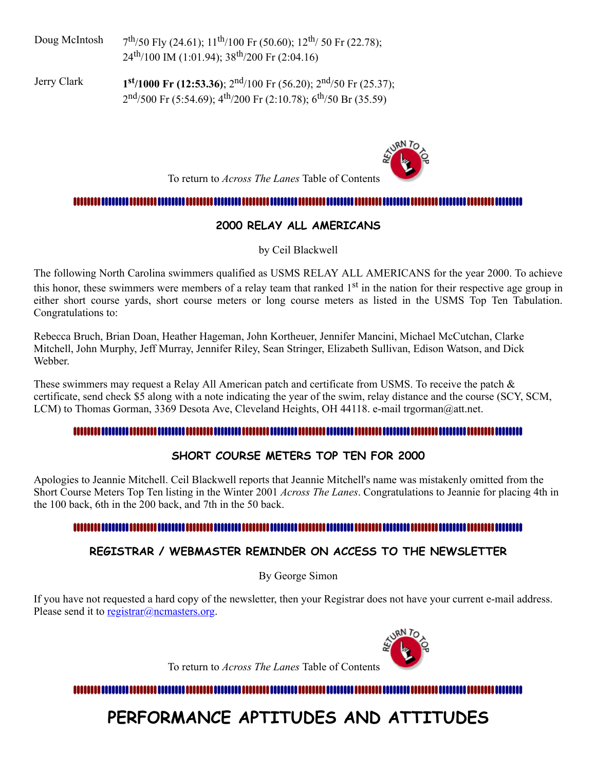Doug McIntosh 7  $\frac{\text{th}}{50}$  Fly (24.61);  $11^{\text{th}}$ /100 Fr (50.60);  $12^{\text{th}}$ / 50 Fr (22.78); 24<sup>th</sup>/100 IM (1:01.94); 38<sup>th</sup>/200 Fr (2:04.16)

Jerry Clark **1 st /1000 Fr (12:53.36)**; 2nd /100 Fr (56.20); 2nd /50 Fr (25.37); 2<sup>nd</sup>/500 Fr (5:54.69); 4<sup>th</sup>/200 Fr (2:10.78); 6<sup>th</sup>/50 Br (35.59)

To return to *Across The Lanes* Table of Contents

#### <span id="page-8-0"></span>

#### **2000 RELAY ALL AMERICANS**

by Ceil Blackwell

The following North Carolina swimmers qualified as USMS RELAY ALL AMERICANS for the year 2000. To achieve this honor, these swimmers were members of a relay team that ranked 1<sup>st</sup> in the nation for their respective age group in either short course yards, short course meters or long course meters as listed in the USMS Top Ten Tabulation. Congratulations to:

Rebecca Bruch, Brian Doan, Heather Hageman, John Kortheuer, Jennifer Mancini, Michael McCutchan, Clarke Mitchell, John Murphy, Jeff Murray, Jennifer Riley, Sean Stringer, Elizabeth Sullivan, Edison Watson, and Dick Webber.

These swimmers may request a Relay All American patch and certificate from USMS. To receive the patch & certificate, send check \$5 along with a note indicating the year of the swim, relay distance and the course (SCY, SCM, LCM) to Thomas Gorman, 3369 Desota Ave, Cleveland Heights, OH 44118. e-mail trgorman@att.net.

#### 

### **SHORT COURSE METERS TOP TEN FOR 2000**

Apologies to Jeannie Mitchell. Ceil Blackwell reports that Jeannie Mitchell's name was mistakenly omitted from the Short Course Meters Top Ten listing in the Winter 2001 *Across The Lanes*. Congratulations to Jeannie for placing 4th in the 100 back, 6th in the 200 back, and 7th in the 50 back.

#### 

### **REGISTRAR / WEBMASTER REMINDER ON ACCESS TO THE NEWSLETTER**

By George Simon

If you have not requested a hard copy of the newsletter, then your Registrar does not have your current e-mail address. Please send it to [registrar@ncmasters.org.](mailto:registrar@ncmasters.org)

To return to *Across The Lanes* Table of Contents

<span id="page-8-1"></span>

## **PERFORMANCE APTITUDES AND ATTITUDES**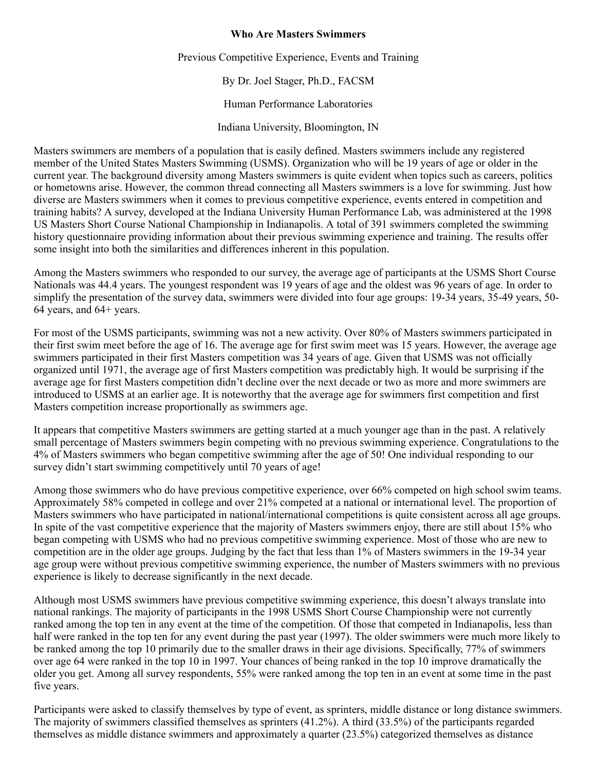#### **Who Are Masters Swimmers**

Previous Competitive Experience, Events and Training

By Dr. Joel Stager, Ph.D., FACSM

Human Performance Laboratories

Indiana University, Bloomington, IN

Masters swimmers are members of a population that is easily defined. Masters swimmers include any registered member of the United States Masters Swimming (USMS). Organization who will be 19 years of age or older in the current year. The background diversity among Masters swimmers is quite evident when topics such as careers, politics or hometowns arise. However, the common thread connecting all Masters swimmers is a love for swimming. Just how diverse are Masters swimmers when it comes to previous competitive experience, events entered in competition and training habits? A survey, developed at the Indiana University Human Performance Lab, was administered at the 1998 US Masters Short Course National Championship in Indianapolis. A total of 391 swimmers completed the swimming history questionnaire providing information about their previous swimming experience and training. The results offer some insight into both the similarities and differences inherent in this population.

Among the Masters swimmers who responded to our survey, the average age of participants at the USMS Short Course Nationals was 44.4 years. The youngest respondent was 19 years of age and the oldest was 96 years of age. In order to simplify the presentation of the survey data, swimmers were divided into four age groups: 19-34 years, 35-49 years, 50- 64 years, and 64+ years.

For most of the USMS participants, swimming was not a new activity. Over 80% of Masters swimmers participated in their first swim meet before the age of 16. The average age for first swim meet was 15 years. However, the average age swimmers participated in their first Masters competition was 34 years of age. Given that USMS was not officially organized until 1971, the average age of first Masters competition was predictably high. It would be surprising if the average age for first Masters competition didn't decline over the next decade or two as more and more swimmers are introduced to USMS at an earlier age. It is noteworthy that the average age for swimmers first competition and first Masters competition increase proportionally as swimmers age.

It appears that competitive Masters swimmers are getting started at a much younger age than in the past. A relatively small percentage of Masters swimmers begin competing with no previous swimming experience. Congratulations to the 4% of Masters swimmers who began competitive swimming after the age of 50! One individual responding to our survey didn't start swimming competitively until 70 years of age!

Among those swimmers who do have previous competitive experience, over 66% competed on high school swim teams. Approximately 58% competed in college and over 21% competed at a national or international level. The proportion of Masters swimmers who have participated in national/international competitions is quite consistent across all age groups. In spite of the vast competitive experience that the majority of Masters swimmers enjoy, there are still about 15% who began competing with USMS who had no previous competitive swimming experience. Most of those who are new to competition are in the older age groups. Judging by the fact that less than 1% of Masters swimmers in the 19-34 year age group were without previous competitive swimming experience, the number of Masters swimmers with no previous experience is likely to decrease significantly in the next decade.

Although most USMS swimmers have previous competitive swimming experience, this doesn't always translate into national rankings. The majority of participants in the 1998 USMS Short Course Championship were not currently ranked among the top ten in any event at the time of the competition. Of those that competed in Indianapolis, less than half were ranked in the top ten for any event during the past year (1997). The older swimmers were much more likely to be ranked among the top 10 primarily due to the smaller draws in their age divisions. Specifically, 77% of swimmers over age 64 were ranked in the top 10 in 1997. Your chances of being ranked in the top 10 improve dramatically the older you get. Among all survey respondents, 55% were ranked among the top ten in an event at some time in the past five years.

Participants were asked to classify themselves by type of event, as sprinters, middle distance or long distance swimmers. The majority of swimmers classified themselves as sprinters (41.2%). A third (33.5%) of the participants regarded themselves as middle distance swimmers and approximately a quarter (23.5%) categorized themselves as distance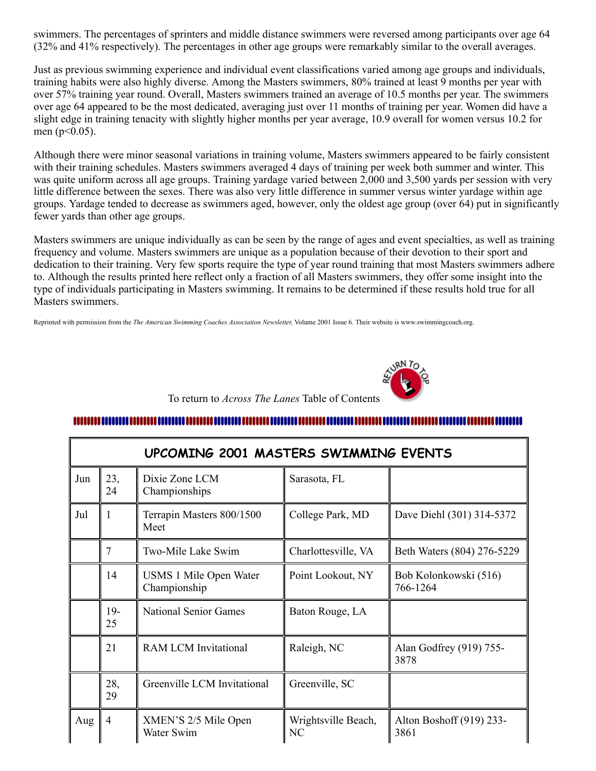swimmers. The percentages of sprinters and middle distance swimmers were reversed among participants over age 64 (32% and 41% respectively). The percentages in other age groups were remarkably similar to the overall averages.

Just as previous swimming experience and individual event classifications varied among age groups and individuals, training habits were also highly diverse. Among the Masters swimmers, 80% trained at least 9 months per year with over 57% training year round. Overall, Masters swimmers trained an average of 10.5 months per year. The swimmers over age 64 appeared to be the most dedicated, averaging just over 11 months of training per year. Women did have a slight edge in training tenacity with slightly higher months per year average, 10.9 overall for women versus 10.2 for men  $(p<0.05)$ .

Although there were minor seasonal variations in training volume, Masters swimmers appeared to be fairly consistent with their training schedules. Masters swimmers averaged 4 days of training per week both summer and winter. This was quite uniform across all age groups. Training yardage varied between 2,000 and 3,500 yards per session with very little difference between the sexes. There was also very little difference in summer versus winter yardage within age groups. Yardage tended to decrease as swimmers aged, however, only the oldest age group (over 64) put in significantly fewer yards than other age groups.

Masters swimmers are unique individually as can be seen by the range of ages and event specialties, as well as training frequency and volume. Masters swimmers are unique as a population because of their devotion to their sport and dedication to their training. Very few sports require the type of year round training that most Masters swimmers adhere to. Although the results printed here reflect only a fraction of all Masters swimmers, they offer some insight into the type of individuals participating in Masters swimming. It remains to be determined if these results hold true for all Masters swimmers.

Reprinted with permission from the *The American Swimming Coaches Association Newsletter,* Volume 2001 Issue 6. Their website is www.swimmingcoach.org.



#### To return to *Across The Lanes* Table of Contents

#### 

<span id="page-10-0"></span>

| UPCOMING 2001 MASTERS SWIMMING EVENTS |                |                                        |                           |                                   |  |
|---------------------------------------|----------------|----------------------------------------|---------------------------|-----------------------------------|--|
| Jun                                   | 23,<br>24      | Dixie Zone LCM<br>Championships        | Sarasota, FL              |                                   |  |
| Jul                                   | 1              | Terrapin Masters 800/1500<br>Meet      | College Park, MD          | Dave Diehl (301) 314-5372         |  |
|                                       | 7              | Two-Mile Lake Swim                     | Charlottesville, VA       | Beth Waters (804) 276-5229        |  |
|                                       | 14             | USMS 1 Mile Open Water<br>Championship | Point Lookout, NY         | Bob Kolonkowski (516)<br>766-1264 |  |
|                                       | $19-$<br>25    | <b>National Senior Games</b>           | Baton Rouge, LA           |                                   |  |
|                                       | 21             | <b>RAM LCM Invitational</b>            | Raleigh, NC               | Alan Godfrey (919) 755-<br>3878   |  |
|                                       | 28,<br>29      | Greenville LCM Invitational            | Greenville, SC            |                                   |  |
| Aug                                   | $\overline{4}$ | XMEN'S 2/5 Mile Open<br>Water Swim     | Wrightsville Beach,<br>NC | Alton Boshoff (919) 233-<br>3861  |  |